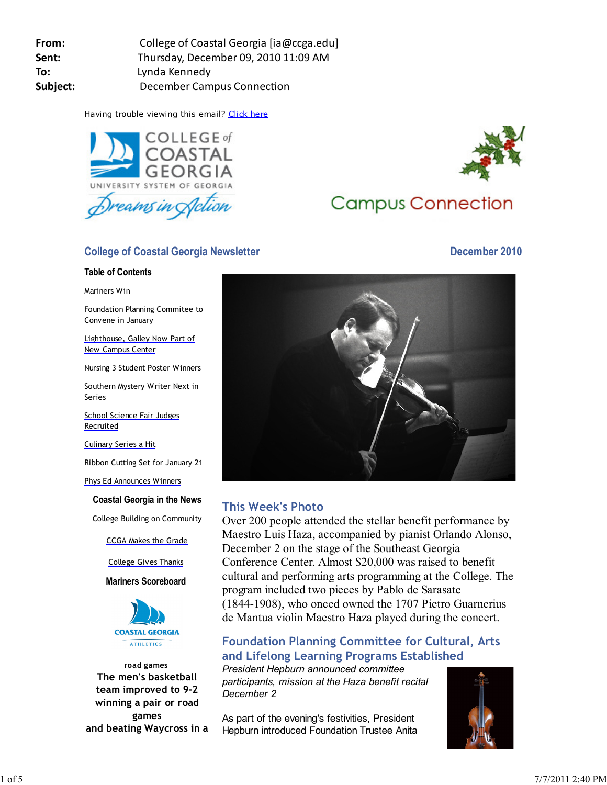Having trouble viewing this email? Click here



## **College of Coastal Georgia Newsletter December 2010**

#### **Table of Contents**

Mariners Win

Foundation Planning Commitee to Convene in January

Lighthouse, Galley Now Part of New Campus Center

Nursing 3 Student Poster Winners

Southern Mystery Writer Next in Series

School Science Fair Judges **Recruited** 

Culinary Series a Hit

Ribbon Cutting Set for January 21

Phys Ed Announces Winners

**Coastal Georgia in the News**

College Building on Community

CCGA Makes the Grade

College Gives Thanks

**Mariners Scoreboard**



**road games The men's basketball team improved to 9-2 winning a pair or road games and beating Waycross in a**



# **Campus Connection**



## **This Week's Photo**

Over 200 people attended the stellar benefit performance by Maestro Luis Haza, accompanied by pianist Orlando Alonso, December 2 on the stage of the Southeast Georgia Conference Center. Almost \$20,000 was raised to benefit cultural and performing arts programming at the College. The program included two pieces by Pablo de Sarasate (1844-1908), who onced owned the 1707 Pietro Guarnerius de Mantua violin Maestro Haza played during the concert.

## **Foundation Planning Committee for Cultural, Arts and Lifelong Learning Programs Established**

*President Hepburn announced committee participants, mission at the Haza benefit recital December 2*

As part of the evening's festivities, President Hepburn introduced Foundation Trustee Anita

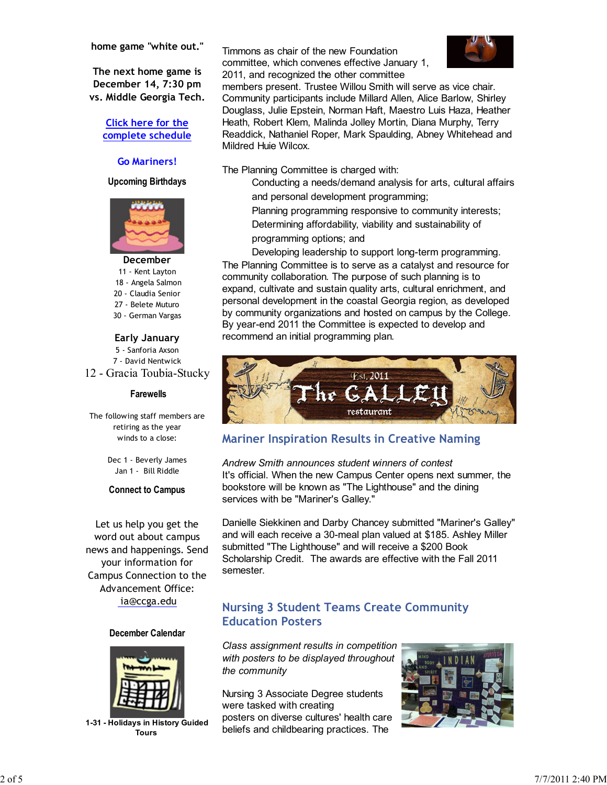**home game "white out."**

**The next home game is December 14, 7:30 pm vs. Middle Georgia Tech.**

#### **Click here for the complete schedule**

#### **Go Mariners!**

**Upcoming Birthdays**



#### **December**

11 - Kent Layton

- 18 Angela Salmon
- 20 Claudia Senior
- 27 Belete Muturo
- 30 German Vargas

#### **Early January**

5 - Sanforia Axson 7 - David Nentwick 12 - Gracia Toubia-Stucky

#### **Farewells**

The following staff members are retiring as the year winds to a close:

> Dec 1 - Beverly James Jan 1 - Bill Riddle

#### **Connect to Campus**

Let us help you get the word out about campus news and happenings. Send your information for Campus Connection to the Advancement Office: ia@ccga.edu

#### **December Calendar**



**1-31 - Holidays in History Guided Tours** 

Timmons as chair of the new Foundation committee, which convenes effective January 1, 2011, and recognized the other committee



members present. Trustee Willou Smith will serve as vice chair. Community participants include Millard Allen, Alice Barlow, Shirley Douglass, Julie Epstein, Norman Haft, Maestro Luis Haza, Heather Heath, Robert Klem, Malinda Jolley Mortin, Diana Murphy, Terry Readdick, Nathaniel Roper, Mark Spaulding, Abney Whitehead and Mildred Huie Wilcox.

The Planning Committee is charged with:

Conducting a needs/demand analysis for arts, cultural affairs and personal development programming;

Planning programming responsive to community interests; Determining affordability, viability and sustainability of programming options; and

Developing leadership to support long-term programming. The Planning Committee is to serve as a catalyst and resource for community collaboration. The purpose of such planning is to expand, cultivate and sustain quality arts, cultural enrichment, and personal development in the coastal Georgia region, as developed by community organizations and hosted on campus by the College. By year-end 2011 the Committee is expected to develop and recommend an initial programming plan.



## **Mariner Inspiration Results in Creative Naming**

*Andrew Smith announces student winners of contest* It's official. When the new Campus Center opens next summer, the bookstore will be known as "The Lighthouse" and the dining services with be "Mariner's Galley."

Danielle Siekkinen and Darby Chancey submitted "Mariner's Galley" and will each receive a 30-meal plan valued at \$185. Ashley Miller submitted "The Lighthouse" and will receive a \$200 Book Scholarship Credit. The awards are effective with the Fall 2011 semester.

## **Nursing 3 Student Teams Create Community Education Posters**

*Class assignment results in competition with posters to be displayed throughout the community*

Nursing 3 Associate Degree students were tasked with creating posters on diverse cultures' health care beliefs and childbearing practices. The

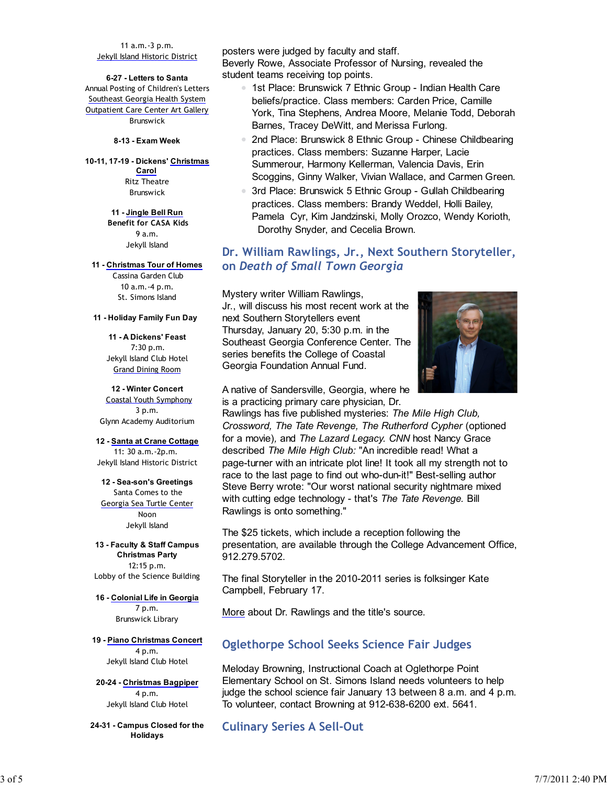11 a.m.-3 p.m. Jekyll Island Historic District

**6-27 - Letters to Santa** Annual Posting of Children's Letters Southeast Georgia Health System Outpatient Care Center Art Gallery Brunswick

**8-13 - Exam Week**

**10-11, 17-19 - Dickens' Christmas Carol** Ritz Theatre Brunswick

> **11 - Jingle Bell Run Benefit for CASA Kids** 9 a.m. Jekyll Island

**11 - Christmas Tour of Homes** Cassina Garden Club 10 a.m.-4 p.m.

St. Simons Island

**11 - Holiday Family Fun Day** 

**11 - A Dickens' Feast** 7:30 p.m. Jekyll Island Club Hotel Grand Dining Room

**12 - Winter Concert** Coastal Youth Symphony 3 p.m. Glynn Academy Auditorium

**12 - Santa at Crane Cottage** 11: 30 a.m.-2p.m. Jekyll Island Historic District

**12 - Sea-son's Greetings** Santa Comes to the Georgia Sea Turtle Center Noon Jekyll Island

**13 - Faculty & Staff Campus Christmas Party** 12:15 p.m. Lobby of the Science Building

**16 - Colonial Life in Georgia** 7 p.m. Brunswick Library

**19 - Piano Christmas Concert** 4 p.m. Jekyll Island Club Hotel

**20-24 - Christmas Bagpiper** 4 p.m. Jekyll Island Club Hotel

**24-31 - Campus Closed for the Holidays**

posters were judged by faculty and staff. Beverly Rowe, Associate Professor of Nursing, revealed the student teams receiving top points.

- 1st Place: Brunswick 7 Ethnic Group Indian Health Care beliefs/practice. Class members: Carden Price, Camille York, Tina Stephens, Andrea Moore, Melanie Todd, Deborah Barnes, Tracey DeWitt, and Merissa Furlong.
- 2nd Place: Brunswick 8 Ethnic Group Chinese Childbearing practices. Class members: Suzanne Harper, Lacie Summerour, Harmony Kellerman, Valencia Davis, Erin Scoggins, Ginny Walker, Vivian Wallace, and Carmen Green.
- 3rd Place: Brunswick 5 Ethnic Group Gullah Childbearing practices. Class members: Brandy Weddel, Holli Bailey, Pamela Cyr, Kim Jandzinski, Molly Orozco, Wendy Korioth, Dorothy Snyder, and Cecelia Brown.

### **Dr. William Rawlings, Jr., Next Southern Storyteller, on** *Death of Small Town Georgia*

Mystery writer William Rawlings, Jr., will discuss his most recent work at the next Southern Storytellers event Thursday, January 20, 5:30 p.m. in the Southeast Georgia Conference Center. The series benefits the College of Coastal Georgia Foundation Annual Fund.



A native of Sandersville, Georgia, where he is a practicing primary care physician, Dr.

Rawlings has five published mysteries: *The Mile High Club, Crossword, The Tate Revenge, The Rutherford Cypher* (optioned for a movie)*,* and *The Lazard Legacy. CNN* host Nancy Grace described *The Mile High Club:* "An incredible read! What a page-turner with an intricate plot line! It took all my strength not to race to the last page to find out who-dun-it!" Best-selling author Steve Berry wrote: "Our worst national security nightmare mixed with cutting edge technology - that's *The Tate Revenge.* Bill Rawlings is onto something."

The \$25 tickets, which include a reception following the presentation, are available through the College Advancement Office, 912.279.5702.

The final Storyteller in the 2010-2011 series is folksinger Kate Campbell, February 17.

More about Dr. Rawlings and the title's source.

#### **Oglethorpe School Seeks Science Fair Judges**

Meloday Browning, Instructional Coach at Oglethorpe Point Elementary School on St. Simons Island needs volunteers to help judge the school science fair January 13 between 8 a.m. and 4 p.m. To volunteer, contact Browning at 912-638-6200 ext. 5641.

**Culinary Series A Sell-Out**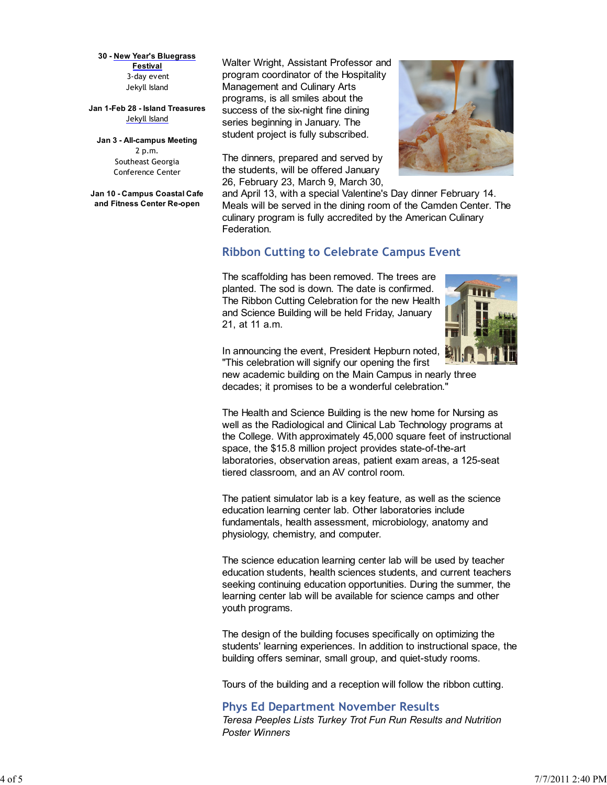**30 - New Year's Bluegrass Festival** 3-day event Jekyll Island

**Jan 1-Feb 28 - Island Treasures** Jekyll Island

**Jan 3 - All-campus Meeting** 2 p.m. Southeast Georgia Conference Center

**Jan 10 - Campus Coastal Cafe and Fitness Center Re-open**

Walter Wright, Assistant Professor and program coordinator of the Hospitality Management and Culinary Arts programs, is all smiles about the success of the six-night fine dining series beginning in January. The student project is fully subscribed.

The dinners, prepared and served by the students, will be offered January 26, February 23, March 9, March 30,



and April 13, with a special Valentine's Day dinner February 14. Meals will be served in the dining room of the Camden Center. The culinary program is fully accredited by the American Culinary Federation.

#### **Ribbon Cutting to Celebrate Campus Event**

The scaffolding has been removed. The trees are planted. The sod is down. The date is confirmed. The Ribbon Cutting Celebration for the new Health and Science Building will be held Friday, January 21, at 11 a.m.



In announcing the event, President Hepburn noted, "This celebration will signify our opening the first

new academic building on the Main Campus in nearly three decades; it promises to be a wonderful celebration."

The Health and Science Building is the new home for Nursing as well as the Radiological and Clinical Lab Technology programs at the College. With approximately 45,000 square feet of instructional space, the \$15.8 million project provides state-of-the-art laboratories, observation areas, patient exam areas, a 125-seat tiered classroom, and an AV control room.

The patient simulator lab is a key feature, as well as the science education learning center lab. Other laboratories include fundamentals, health assessment, microbiology, anatomy and physiology, chemistry, and computer.

The science education learning center lab will be used by teacher education students, health sciences students, and current teachers seeking continuing education opportunities. During the summer, the learning center lab will be available for science camps and other youth programs.

The design of the building focuses specifically on optimizing the students' learning experiences. In addition to instructional space, the building offers seminar, small group, and quiet-study rooms.

Tours of the building and a reception will follow the ribbon cutting.

#### **Phys Ed Department November Results** *Teresa Peeples Lists Turkey Trot Fun Run Results and Nutrition Poster Winners*